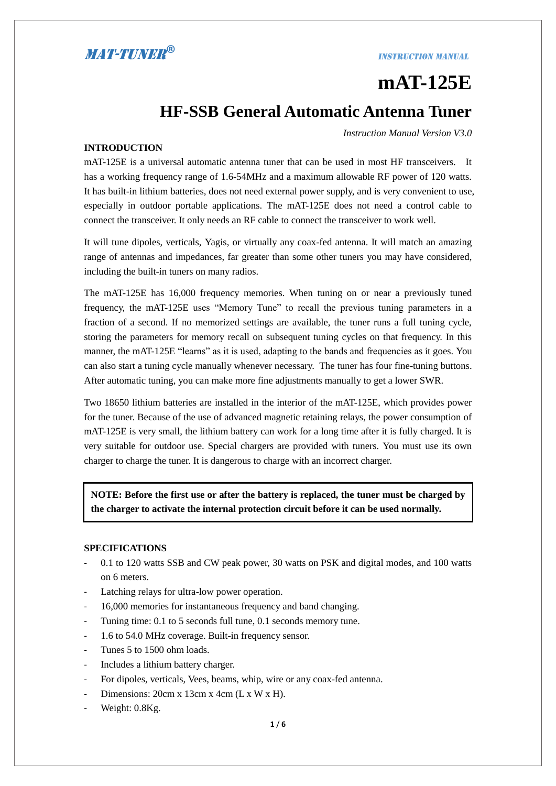#### **INSTRUCTION MANUAL**

# **mAT-125E HF-SSB General Automatic Antenna Tuner**

*Instruction Manual Version V3.0* 

#### **INTRODUCTION**

mAT-125E is a universal automatic antenna tuner that can be used in most HF transceivers. It has a working frequency range of 1.6-54MHz and a maximum allowable RF power of 120 watts. It has built-in lithium batteries, does not need external power supply, and is very convenient to use, especially in outdoor portable applications. The mAT-125E does not need a control cable to connect the transceiver. It only needs an RF cable to connect the transceiver to work well.

It will tune dipoles, verticals, Yagis, or virtually any coax-fed antenna. It will match an amazing range of antennas and impedances, far greater than some other tuners you may have considered, including the built-in tuners on many radios.

The mAT-125E has 16,000 frequency memories. When tuning on or near a previously tuned frequency, the mAT-125E uses "Memory Tune" to recall the previous tuning parameters in a fraction of a second. If no memorized settings are available, the tuner runs a full tuning cycle, storing the parameters for memory recall on subsequent tuning cycles on that frequency. In this manner, the mAT-125E "learns" as it is used, adapting to the bands and frequencies as it goes. You can also start a tuning cycle manually whenever necessary. The tuner has four fine-tuning buttons. After automatic tuning, you can make more fine adjustments manually to get a lower SWR.

Two 18650 lithium batteries are installed in the interior of the mAT-125E, which provides power for the tuner. Because of the use of advanced magnetic retaining relays, the power consumption of mAT-125E is very small, the lithium battery can work for a long time after it is fully charged. It is very suitable for outdoor use. Special chargers are provided with tuners. You must use its own charger to charge the tuner. It is dangerous to charge with an incorrect charger.

**NOTE: Before the first use or after the battery is replaced, the tuner must be charged by the charger to activate the internal protection circuit before it can be used normally.**

#### **SPECIFICATIONS**

- 0.1 to 120 watts SSB and CW peak power, 30 watts on PSK and digital modes, and 100 watts on 6 meters.
- Latching relays for ultra-low power operation.
- 16,000 memories for instantaneous frequency and band changing.
- Tuning time: 0.1 to 5 seconds full tune, 0.1 seconds memory tune.
- 1.6 to 54.0 MHz coverage. Built-in frequency sensor.
- Tunes 5 to 1500 ohm loads.
- Includes a lithium battery charger.
- For dipoles, verticals, Vees, beams, whip, wire or any coax-fed antenna.
- Dimensions: 20cm x 13cm x 4cm (L x W x H).
- Weight: 0.8Kg.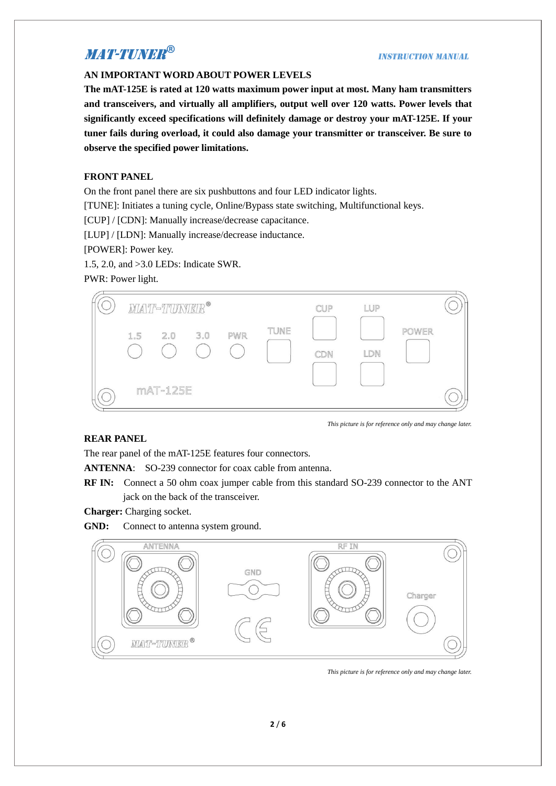#### **INSTRUCTION MANUAL**

#### **AN IMPORTANT WORD ABOUT POWER LEVELS**

**The mAT-125E is rated at 120 watts maximum power input at most. Many ham transmitters and transceivers, and virtually all amplifiers, output well over 120 watts. Power levels that significantly exceed specifications will definitely damage or destroy your mAT-125E. If your tuner fails during overload, it could also damage your transmitter or transceiver. Be sure to observe the specified power limitations.**

#### **FRONT PANEL**

On the front panel there are six pushbuttons and four LED indicator lights.

[TUNE]: Initiates a tuning cycle, Online/Bypass state switching, Multifunctional keys.

[CUP] / [CDN]: Manually increase/decrease capacitance.

[LUP] / [LDN]: Manually increase/decrease inductance.

[POWER]: Power key.

1.5, 2.0, and >3.0 LEDs: Indicate SWR.

PWR: Power light.



#### **REAR PANEL**

The rear panel of the mAT-125E features four connectors.

**ANTENNA**: SO-239 connector for coax cable from antenna.

**RF IN:** Connect a 50 ohm coax jumper cable from this standard SO-239 connector to the ANT jack on the back of the transceiver.

**Charger:** Charging socket.

**GND:** Connect to antenna system ground.



*This picture is for reference only and may change later.*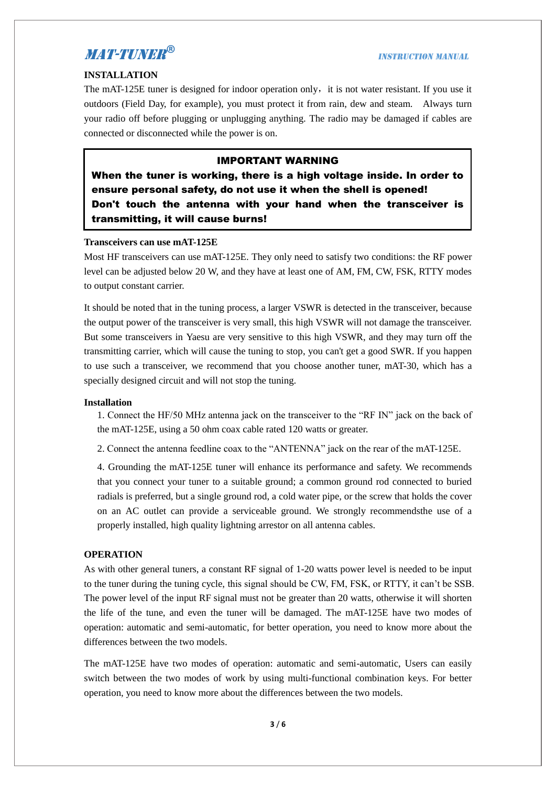#### **INSTALLATION**

The mAT-125E tuner is designed for indoor operation only, it is not water resistant. If you use it outdoors (Field Day, for example), you must protect it from rain, dew and steam. Always turn your radio off before plugging or unplugging anything. The radio may be damaged if cables are connected or disconnected while the power is on.

#### IMPORTANT WARNING

When the tuner is working, there is a high voltage inside. In order to ensure personal safety, do not use it when the shell is opened! Don't touch the antenna with your hand when the transceiver is transmitting, it will cause burns!

#### **Transceivers can use mAT-125E**

Most HF transceivers can use mAT-125E. They only need to satisfy two conditions: the RF power level can be adjusted below 20 W, and they have at least one of AM, FM, CW, FSK, RTTY modes to output constant carrier.

It should be noted that in the tuning process, a larger VSWR is detected in the transceiver, because the output power of the transceiver is very small, this high VSWR will not damage the transceiver. But some transceivers in Yaesu are very sensitive to this high VSWR, and they may turn off the transmitting carrier, which will cause the tuning to stop, you can't get a good SWR. If you happen to use such a transceiver, we recommend that you choose another tuner, mAT-30, which has a specially designed circuit and will not stop the tuning.

#### **Installation**

1. Connect the HF/50 MHz antenna jack on the transceiver to the "RF IN" jack on the back of the mAT-125E, using a 50 ohm coax cable rated 120 watts or greater.

2. Connect the antenna feedline coax to the "ANTENNA" jack on the rear of the mAT-125E.

4. Grounding the mAT-125E tuner will enhance its performance and safety. We recommends that you connect your tuner to a suitable ground; a common ground rod connected to buried radials is preferred, but a single ground rod, a cold water pipe, or the screw that holds the cover on an AC outlet can provide a serviceable ground. We strongly recommendsthe use of a properly installed, high quality lightning arrestor on all antenna cables.

#### **OPERATION**

As with other general tuners, a constant RF signal of 1-20 watts power level is needed to be input to the tuner during the tuning cycle, this signal should be CW, FM, FSK, or RTTY, it can't be SSB. The power level of the input RF signal must not be greater than 20 watts, otherwise it will shorten the life of the tune, and even the tuner will be damaged. The mAT-125E have two modes of operation: automatic and semi-automatic, for better operation, you need to know more about the differences between the two models.

The mAT-125E have two modes of operation: automatic and semi-automatic, Users can easily switch between the two modes of work by using multi-functional combination keys. For better operation, you need to know more about the differences between the two models.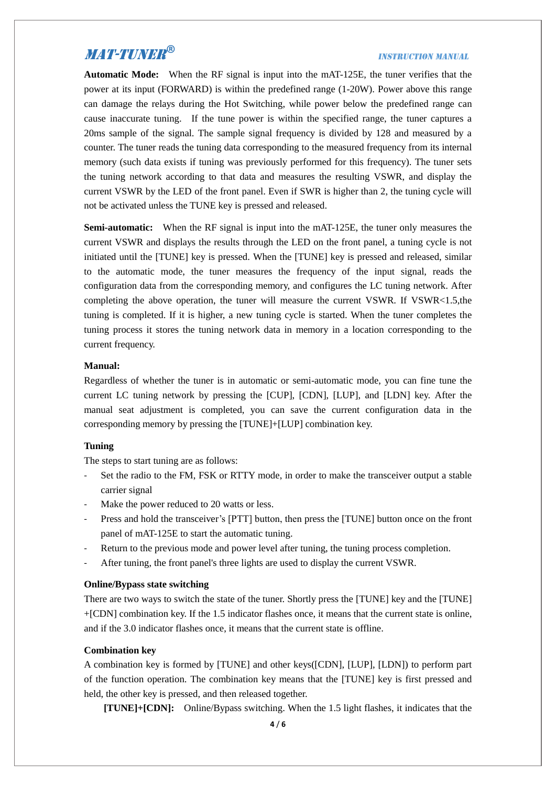#### **INSTRUCTION MANUAL**

**Automatic Mode:** When the RF signal is input into the mAT-125E, the tuner verifies that the power at its input (FORWARD) is within the predefined range (1-20W). Power above this range can damage the relays during the Hot Switching, while power below the predefined range can cause inaccurate tuning. If the tune power is within the specified range, the tuner captures a 20ms sample of the signal. The sample signal frequency is divided by 128 and measured by a counter. The tuner reads the tuning data corresponding to the measured frequency from its internal memory (such data exists if tuning was previously performed for this frequency). The tuner sets the tuning network according to that data and measures the resulting VSWR, and display the current VSWR by the LED of the front panel. Even if SWR is higher than 2, the tuning cycle will not be activated unless the TUNE key is pressed and released.

**Semi-automatic:** When the RF signal is input into the mAT-125E, the tuner only measures the current VSWR and displays the results through the LED on the front panel, a tuning cycle is not initiated until the [TUNE] key is pressed. When the [TUNE] key is pressed and released, similar to the automatic mode, the tuner measures the frequency of the input signal, reads the configuration data from the corresponding memory, and configures the LC tuning network. After completing the above operation, the tuner will measure the current VSWR. If VSWR<1.5,the tuning is completed. If it is higher, a new tuning cycle is started. When the tuner completes the tuning process it stores the tuning network data in memory in a location corresponding to the current frequency.

#### **Manual:**

Regardless of whether the tuner is in automatic or semi-automatic mode, you can fine tune the current LC tuning network by pressing the [CUP], [CDN], [LUP], and [LDN] key. After the manual seat adjustment is completed, you can save the current configuration data in the corresponding memory by pressing the [TUNE]+[LUP] combination key.

#### **Tuning**

The steps to start tuning are as follows:

- Set the radio to the FM, FSK or RTTY mode, in order to make the transceiver output a stable carrier signal
- Make the power reduced to 20 watts or less.
- Press and hold the transceiver's [PTT] button, then press the [TUNE] button once on the front panel of mAT-125E to start the automatic tuning.
- Return to the previous mode and power level after tuning, the tuning process completion.
- After tuning, the front panel's three lights are used to display the current VSWR.

#### **Online/Bypass state switching**

There are two ways to switch the state of the tuner. Shortly press the [TUNE] key and the [TUNE] +[CDN] combination key. If the 1.5 indicator flashes once, it means that the current state is online, and if the 3.0 indicator flashes once, it means that the current state is offline.

#### **Combination key**

A combination key is formed by [TUNE] and other keys([CDN], [LUP], [LDN]) to perform part of the function operation. The combination key means that the [TUNE] key is first pressed and held, the other key is pressed, and then released together.

**[TUNE]+[CDN]:** Online/Bypass switching. When the 1.5 light flashes, it indicates that the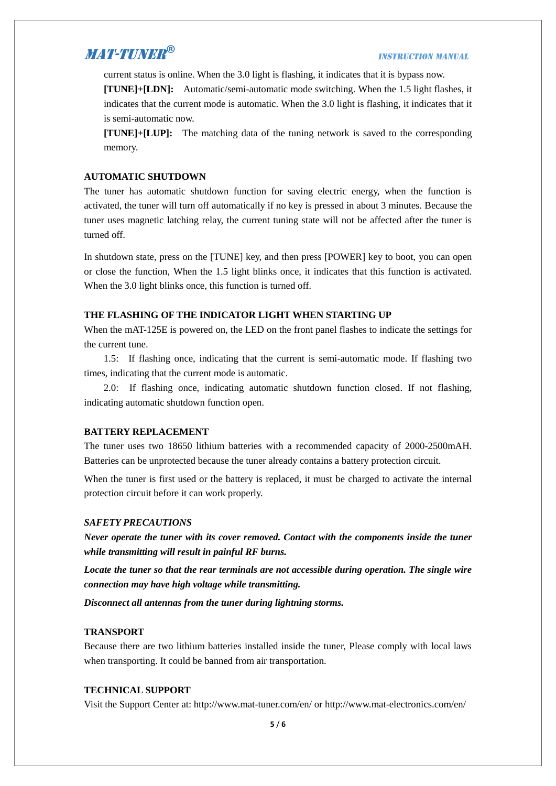#### **INSTRUCTION MANUAL**

current status is online. When the 3.0 light is flashing, it indicates that it is bypass now.

**[TUNE]+[LDN]:** Automatic/semi-automatic mode switching. When the 1.5 light flashes, it indicates that the current mode is automatic. When the 3.0 light is flashing, it indicates that it is semi-automatic now.

**[TUNE]+[LUP]:** The matching data of the tuning network is saved to the corresponding memory.

#### **AUTOMATIC SHUTDOWN**

The tuner has automatic shutdown function for saving electric energy, when the function is activated, the tuner will turn off automatically if no key is pressed in about 3 minutes. Because the tuner uses magnetic latching relay, the current tuning state will not be affected after the tuner is turned off.

In shutdown state, press on the [TUNE] key, and then press [POWER] key to boot, you can open or close the function, When the 1.5 light blinks once, it indicates that this function is activated. When the 3.0 light blinks once, this function is turned off.

#### **THE FLASHING OF THE INDICATOR LIGHT WHEN STARTING UP**

When the mAT-125E is powered on, the LED on the front panel flashes to indicate the settings for the current tune.

1.5: If flashing once, indicating that the current is semi-automatic mode. If flashing two times, indicating that the current mode is automatic.

2.0: If flashing once, indicating automatic shutdown function closed. If not flashing, indicating automatic shutdown function open.

#### **BATTERY REPLACEMENT**

The tuner uses two 18650 lithium batteries with a recommended capacity of 2000-2500mAH. Batteries can be unprotected because the tuner already contains a battery protection circuit.

When the tuner is first used or the battery is replaced, it must be charged to activate the internal protection circuit before it can work properly.

#### *SAFETY PRECAUTIONS*

*Never operate the tuner with its cover removed. Contact with the components inside the tuner while transmitting will result in painful RF burns.*

*Locate the tuner so that the rear terminals are not accessible during operation. The single wire connection may have high voltage while transmitting.*

*Disconnect all antennas from the tuner during lightning storms.*

#### **TRANSPORT**

Because there are two lithium batteries installed inside the tuner, Please comply with local laws when transporting. It could be banned from air transportation.

#### **TECHNICAL SUPPORT**

Visit the Support Center at: http://www.mat-tuner.com/en/ or http://www.mat-electronics.com/en/